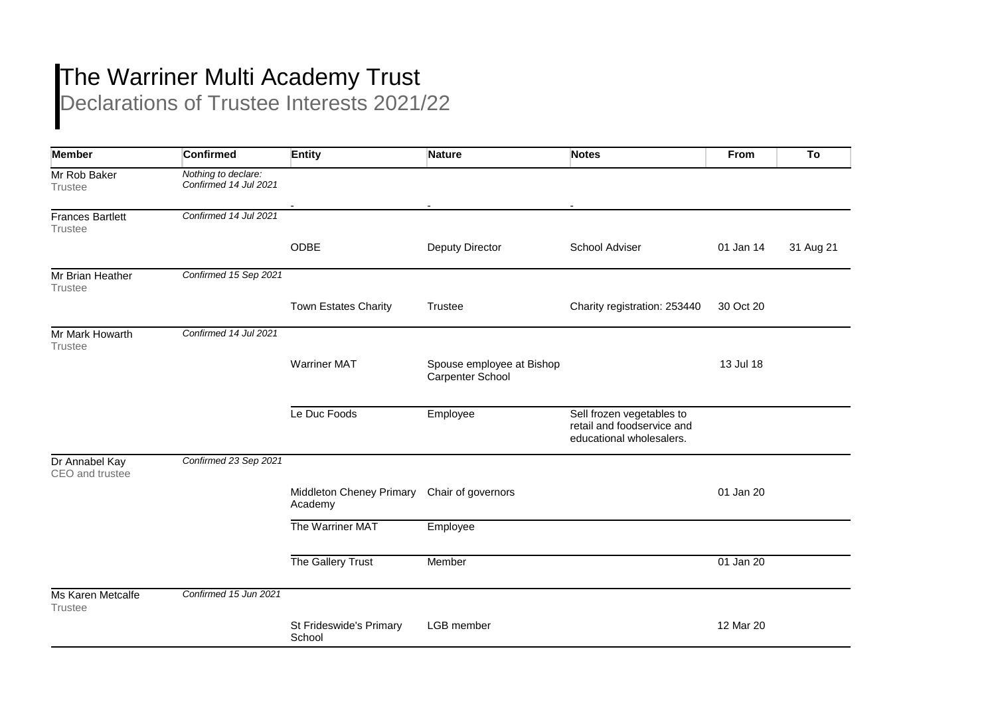## The Warriner Multi Academy Trust

Declarations of Trustee Interests 2021/22

| <b>Member</b>                             | <b>Confirmed</b>                             | <b>Entity</b>                       | <b>Nature</b>                                 | <b>Notes</b>                                                                        | <b>From</b> | To        |
|-------------------------------------------|----------------------------------------------|-------------------------------------|-----------------------------------------------|-------------------------------------------------------------------------------------|-------------|-----------|
| Mr Rob Baker<br><b>Trustee</b>            | Nothing to declare:<br>Confirmed 14 Jul 2021 |                                     |                                               |                                                                                     |             |           |
| <b>Frances Bartlett</b><br><b>Trustee</b> | Confirmed 14 Jul 2021                        |                                     |                                               |                                                                                     |             |           |
|                                           |                                              | ODBE                                | Deputy Director                               | School Adviser                                                                      | 01 Jan 14   | 31 Aug 21 |
| Mr Brian Heather<br><b>Trustee</b>        | Confirmed 15 Sep 2021                        |                                     |                                               |                                                                                     |             |           |
|                                           |                                              | Town Estates Charity                | <b>Trustee</b>                                | Charity registration: 253440                                                        | 30 Oct 20   |           |
| Mr Mark Howarth<br><b>Trustee</b>         | Confirmed 14 Jul 2021                        |                                     |                                               |                                                                                     |             |           |
|                                           |                                              | <b>Warriner MAT</b>                 | Spouse employee at Bishop<br>Carpenter School |                                                                                     | 13 Jul 18   |           |
|                                           |                                              | Le Duc Foods                        | Employee                                      | Sell frozen vegetables to<br>retail and foodservice and<br>educational wholesalers. |             |           |
| Dr Annabel Kay<br>CEO and trustee         | Confirmed 23 Sep 2021                        |                                     |                                               |                                                                                     |             |           |
|                                           |                                              | Middleton Cheney Primary<br>Academy | Chair of governors                            |                                                                                     | 01 Jan 20   |           |
|                                           |                                              | The Warriner MAT                    | Employee                                      |                                                                                     |             |           |
|                                           |                                              | The Gallery Trust                   | Member                                        |                                                                                     | 01 Jan 20   |           |
| Ms Karen Metcalfe<br><b>Trustee</b>       | Confirmed 15 Jun 2021                        |                                     |                                               |                                                                                     |             |           |
|                                           |                                              | St Frideswide's Primary<br>School   | LGB member                                    |                                                                                     | 12 Mar 20   |           |